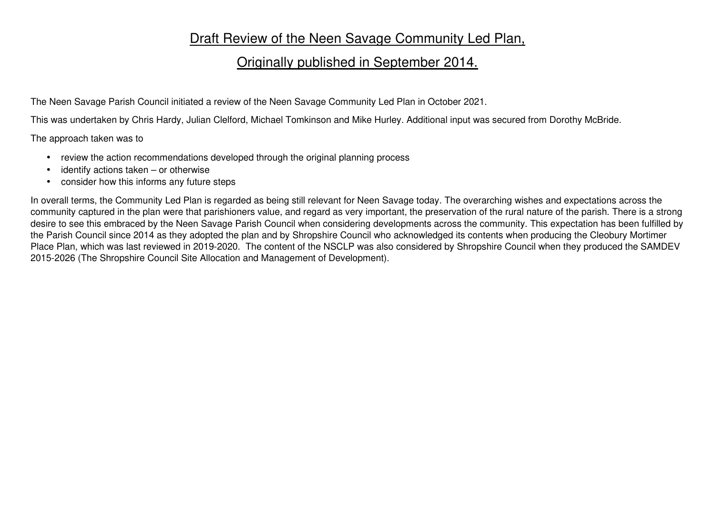## Draft Review of the Neen Savage Community Led Plan,

## Originally published in September 2014.

The Neen Savage Parish Council initiated a review of the Neen Savage Community Led Plan in October 2021.

This was undertaken by Chris Hardy, Julian Clelford, Michael Tomkinson and Mike Hurley. Additional input was secured from Dorothy McBride.

The approach taken was to

- review the action recommendations developed through the original planning process
- identify actions taken or otherwise
- consider how this informs any future steps

In overall terms, the Community Led Plan is regarded as being still relevant for Neen Savage today. The overarching wishes and expectations across the community captured in the plan were that parishioners value, and regard as very important, the preservation of the rural nature of the parish. There is a strong desire to see this embraced by the Neen Savage Parish Council when considering developments across the community. This expectation has been fulfilled by the Parish Council since 2014 as they adopted the plan and by Shropshire Council who acknowledged its contents when producing the Cleobury Mortimer Place Plan, which was last reviewed in 2019-2020. The content of the NSCLP was also considered by Shropshire Council when they produced the SAMDEV 2015-2026 (The Shropshire Council Site Allocation and Management of Development).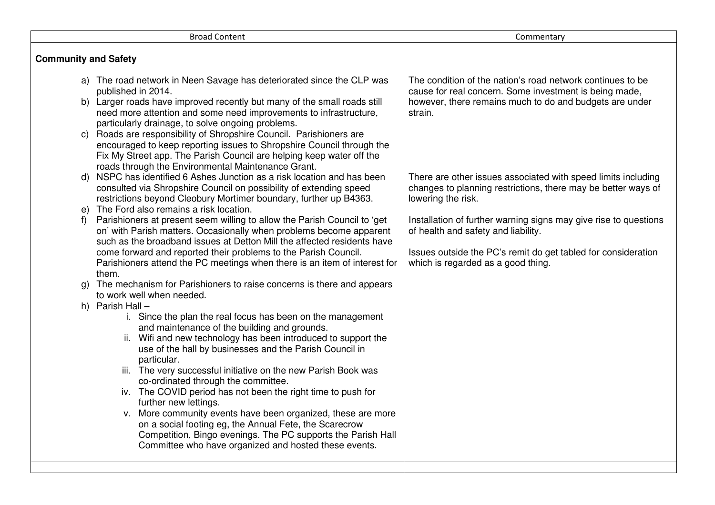|                             | <b>Broad Content</b>                                                                                                                                                                                                                                                                                                                                                                                                                                                                                                                                                                                                                                                                                                             | Commentary                                                                                                                                                                                                     |
|-----------------------------|----------------------------------------------------------------------------------------------------------------------------------------------------------------------------------------------------------------------------------------------------------------------------------------------------------------------------------------------------------------------------------------------------------------------------------------------------------------------------------------------------------------------------------------------------------------------------------------------------------------------------------------------------------------------------------------------------------------------------------|----------------------------------------------------------------------------------------------------------------------------------------------------------------------------------------------------------------|
| <b>Community and Safety</b> |                                                                                                                                                                                                                                                                                                                                                                                                                                                                                                                                                                                                                                                                                                                                  |                                                                                                                                                                                                                |
| C)                          | a) The road network in Neen Savage has deteriorated since the CLP was<br>published in 2014.<br>b) Larger roads have improved recently but many of the small roads still<br>need more attention and some need improvements to infrastructure,<br>particularly drainage, to solve ongoing problems.<br>Roads are responsibility of Shropshire Council. Parishioners are<br>encouraged to keep reporting issues to Shropshire Council through the                                                                                                                                                                                                                                                                                   | The condition of the nation's road network continues to be<br>cause for real concern. Some investment is being made,<br>however, there remains much to do and budgets are under<br>strain.                     |
| d)                          | Fix My Street app. The Parish Council are helping keep water off the<br>roads through the Environmental Maintenance Grant.<br>NSPC has identified 6 Ashes Junction as a risk location and has been                                                                                                                                                                                                                                                                                                                                                                                                                                                                                                                               | There are other issues associated with speed limits including                                                                                                                                                  |
|                             | consulted via Shropshire Council on possibility of extending speed<br>restrictions beyond Cleobury Mortimer boundary, further up B4363.<br>e) The Ford also remains a risk location.                                                                                                                                                                                                                                                                                                                                                                                                                                                                                                                                             | changes to planning restrictions, there may be better ways of<br>lowering the risk.                                                                                                                            |
| f)                          | Parishioners at present seem willing to allow the Parish Council to 'get<br>on' with Parish matters. Occasionally when problems become apparent<br>such as the broadband issues at Detton Mill the affected residents have<br>come forward and reported their problems to the Parish Council.<br>Parishioners attend the PC meetings when there is an item of interest for<br>them.                                                                                                                                                                                                                                                                                                                                              | Installation of further warning signs may give rise to questions<br>of health and safety and liability.<br>Issues outside the PC's remit do get tabled for consideration<br>which is regarded as a good thing. |
| g)                          | The mechanism for Parishioners to raise concerns is there and appears<br>to work well when needed.                                                                                                                                                                                                                                                                                                                                                                                                                                                                                                                                                                                                                               |                                                                                                                                                                                                                |
|                             | h) Parish Hall -<br>i. Since the plan the real focus has been on the management<br>and maintenance of the building and grounds.<br>ii. Wifi and new technology has been introduced to support the<br>use of the hall by businesses and the Parish Council in<br>particular.<br>iii. The very successful initiative on the new Parish Book was<br>co-ordinated through the committee.<br>iv. The COVID period has not been the right time to push for<br>further new lettings.<br>v. More community events have been organized, these are more<br>on a social footing eg, the Annual Fete, the Scarecrow<br>Competition, Bingo evenings. The PC supports the Parish Hall<br>Committee who have organized and hosted these events. |                                                                                                                                                                                                                |
|                             |                                                                                                                                                                                                                                                                                                                                                                                                                                                                                                                                                                                                                                                                                                                                  |                                                                                                                                                                                                                |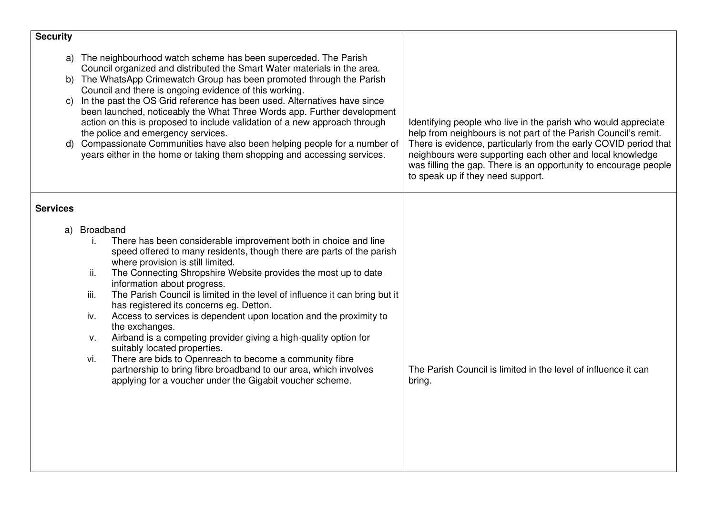| <b>Security</b>       |                                                                                                                                                                                                                                                                                                                                                                                                                                                                                                                                                                                                                                                                                                                                                                                                                                                       |                                                                                                                                                                                                                                                                                                                                                                             |
|-----------------------|-------------------------------------------------------------------------------------------------------------------------------------------------------------------------------------------------------------------------------------------------------------------------------------------------------------------------------------------------------------------------------------------------------------------------------------------------------------------------------------------------------------------------------------------------------------------------------------------------------------------------------------------------------------------------------------------------------------------------------------------------------------------------------------------------------------------------------------------------------|-----------------------------------------------------------------------------------------------------------------------------------------------------------------------------------------------------------------------------------------------------------------------------------------------------------------------------------------------------------------------------|
| a)<br>b)              | The neighbourhood watch scheme has been superceded. The Parish<br>Council organized and distributed the Smart Water materials in the area.<br>The WhatsApp Crimewatch Group has been promoted through the Parish<br>Council and there is ongoing evidence of this working.<br>In the past the OS Grid reference has been used. Alternatives have since<br>been launched, noticeably the What Three Words app. Further development<br>action on this is proposed to include validation of a new approach through<br>the police and emergency services.<br>Compassionate Communities have also been helping people for a number of<br>years either in the home or taking them shopping and accessing services.                                                                                                                                          | Identifying people who live in the parish who would appreciate<br>help from neighbours is not part of the Parish Council's remit.<br>There is evidence, particularly from the early COVID period that<br>neighbours were supporting each other and local knowledge<br>was filling the gap. There is an opportunity to encourage people<br>to speak up if they need support. |
| <b>Services</b><br>a) | Broadband<br>There has been considerable improvement both in choice and line<br>Τ.<br>speed offered to many residents, though there are parts of the parish<br>where provision is still limited.<br>The Connecting Shropshire Website provides the most up to date<br>ii.<br>information about progress.<br>iii.<br>The Parish Council is limited in the level of influence it can bring but it<br>has registered its concerns eg. Detton.<br>Access to services is dependent upon location and the proximity to<br>iv.<br>the exchanges.<br>Airband is a competing provider giving a high-quality option for<br>v.<br>suitably located properties.<br>There are bids to Openreach to become a community fibre<br>vi.<br>partnership to bring fibre broadband to our area, which involves<br>applying for a voucher under the Gigabit voucher scheme. | The Parish Council is limited in the level of influence it can<br>bring.                                                                                                                                                                                                                                                                                                    |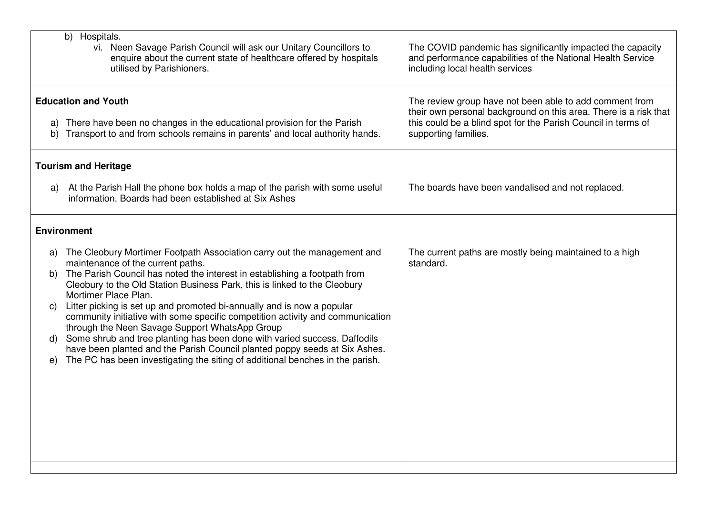| Hospitals.<br>b)<br>vi. Neen Savage Parish Council will ask our Unitary Councillors to<br>The COVID pandemic has significantly impacted the capacity<br>enquire about the current state of healthcare offered by hospitals<br>and performance capabilities of the National Health Service<br>including local health services<br>utilised by Parishioners. |
|-----------------------------------------------------------------------------------------------------------------------------------------------------------------------------------------------------------------------------------------------------------------------------------------------------------------------------------------------------------|
|                                                                                                                                                                                                                                                                                                                                                           |
| <b>Education and Youth</b>                                                                                                                                                                                                                                                                                                                                |
| The review group have not been able to add comment from<br>their own personal background on this area. There is a risk that                                                                                                                                                                                                                               |
| There have been no changes in the educational provision for the Parish<br>this could be a blind spot for the Parish Council in terms of<br>a)<br>Transport to and from schools remains in parents' and local authority hands.<br>supporting families.<br>b)                                                                                               |
| <b>Tourism and Heritage</b>                                                                                                                                                                                                                                                                                                                               |
| At the Parish Hall the phone box holds a map of the parish with some useful<br>The boards have been vandalised and not replaced.<br>a)<br>information. Boards had been established at Six Ashes                                                                                                                                                           |
| <b>Environment</b>                                                                                                                                                                                                                                                                                                                                        |
| The Cleobury Mortimer Footpath Association carry out the management and<br>The current paths are mostly being maintained to a high<br>a)                                                                                                                                                                                                                  |
| maintenance of the current paths.<br>standard.<br>The Parish Council has noted the interest in establishing a footpath from<br>b)                                                                                                                                                                                                                         |
| Cleobury to the Old Station Business Park, this is linked to the Cleobury                                                                                                                                                                                                                                                                                 |
| Mortimer Place Plan.<br>Litter picking is set up and promoted bi-annually and is now a popular                                                                                                                                                                                                                                                            |
| C)<br>community initiative with some specific competition activity and communication                                                                                                                                                                                                                                                                      |
| through the Neen Savage Support WhatsApp Group<br>Some shrub and tree planting has been done with varied success. Daffodils                                                                                                                                                                                                                               |
| d)<br>have been planted and the Parish Council planted poppy seeds at Six Ashes.                                                                                                                                                                                                                                                                          |
| The PC has been investigating the siting of additional benches in the parish.<br>$\Theta$                                                                                                                                                                                                                                                                 |
|                                                                                                                                                                                                                                                                                                                                                           |
|                                                                                                                                                                                                                                                                                                                                                           |
|                                                                                                                                                                                                                                                                                                                                                           |
|                                                                                                                                                                                                                                                                                                                                                           |
|                                                                                                                                                                                                                                                                                                                                                           |
|                                                                                                                                                                                                                                                                                                                                                           |